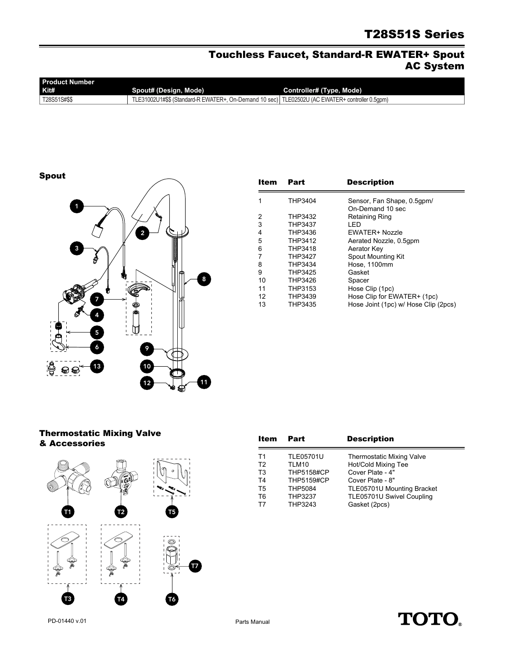# T28S51S Series

### Touchless Faucet, Standard-R EWATER+ Spout AC System

| <b>Product Number</b> |                                                                                                   |                          |  |  |
|-----------------------|---------------------------------------------------------------------------------------------------|--------------------------|--|--|
| Kit#                  | Spout# (Design, Mode)                                                                             | Controller# (Type, Mode) |  |  |
| T28S51S#\$\$          | TLE31002U1#\$\$ (Standard-R EWATER+, On-Demand 10 sec)   TLE02502U (AC EWATER+ controller 0.5qpm) |                          |  |  |

Spout



| Item | Part    | <b>Description</b>                   |
|------|---------|--------------------------------------|
| 1    | THP3404 | Sensor, Fan Shape, 0.5qpm/           |
|      |         | On-Demand 10 sec                     |
| 2    | THP3432 | Retaining Ring                       |
| 3    | THP3437 | LED                                  |
| 4    | THP3436 | <b>EWATER+ Nozzle</b>                |
| 5    | THP3412 | Aerated Nozzle, 0.5qpm               |
| 6    | THP3418 | Aerator Key                          |
| 7    | THP3427 | Spout Mounting Kit                   |
| 8    | THP3434 | Hose, 1100mm                         |
| 9    | THP3425 | Gasket                               |
| 10   | THP3426 | Spacer                               |
| 11   | THP3153 | Hose Clip (1pc)                      |
| 12   | THP3439 | Hose Clip for EWATER+ (1pc)          |
| 13   | THP3435 | Hose Joint (1pc) w/ Hose Clip (2pcs) |

#### Thermostatic Mixing Valve & Accessories



| Item           | Part              | <b>Description</b>               |
|----------------|-------------------|----------------------------------|
| T1             | <b>TLE05701U</b>  | <b>Thermostatic Mixing Valve</b> |
| T <sub>2</sub> | TLM10             | Hot/Cold Mixing Tee              |
| T <sub>3</sub> | <b>THP5158#CP</b> | Cover Plate - 4"                 |
| T4             | <b>THP5159#CP</b> | Cover Plate - 8"                 |
| T <sub>5</sub> | <b>THP5084</b>    | TLE05701U Mounting Bracket       |
| T6             | <b>THP3237</b>    | TLE05701U Swivel Coupling        |
| T7             | THP3243           | Gasket (2pcs)                    |